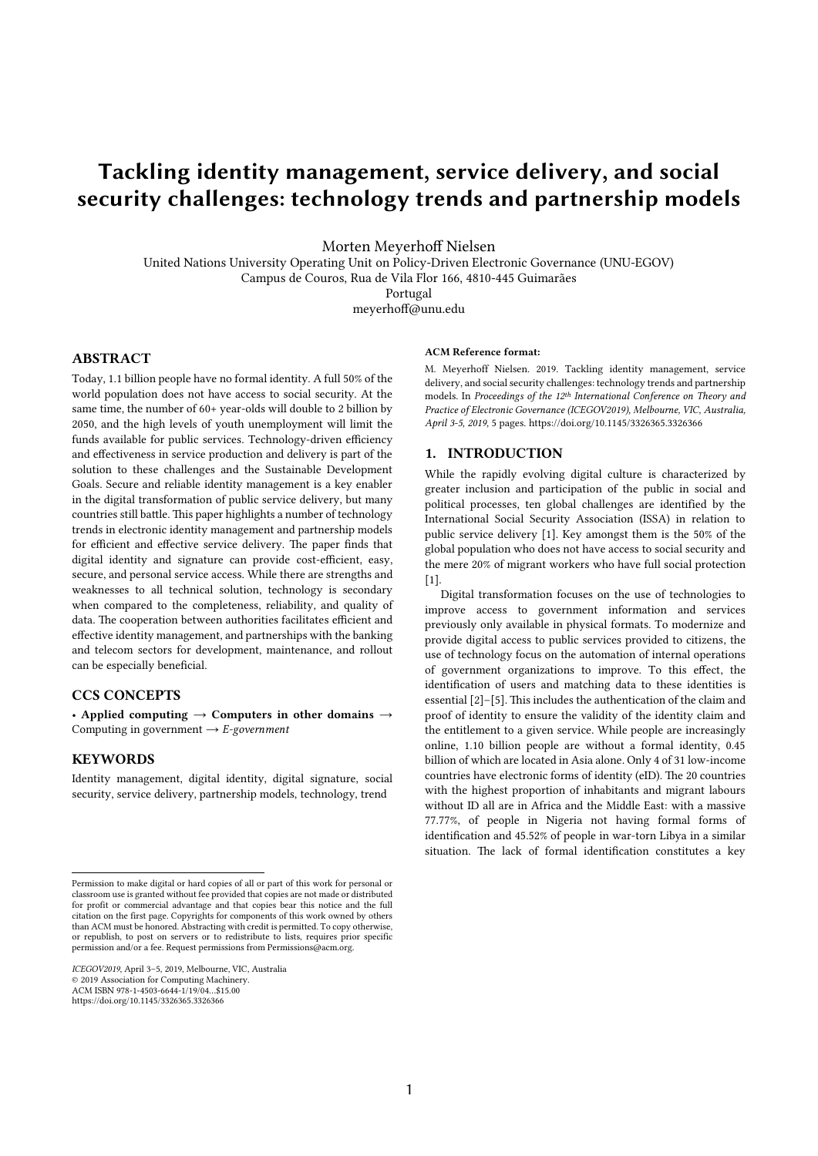# Tackling identity management, service delivery, and social security challenges: technology trends and partnership models

Morten Meyerhoff Nielsen

United Nations University Operating Unit on Policy-Driven Electronic Governance (UNU-EGOV) Campus de Couros, Rua de Vila Flor 166, 4810-445 Guimarães Portugal meyerhoff@unu.edu

# **ABSTRACT**

Today, 1.1 billion people have no formal identity. A full 50% of the world population does not have access to social security. At the same time, the number of 60+ year-olds will double to 2 billion by 2050, and the high levels of youth unemployment will limit the funds available for public services. Technology-driven efficiency and effectiveness in service production and delivery is part of the solution to these challenges and the Sustainable Development Goals. Secure and reliable identity management is a key enabler in the digital transformation of public service delivery, but many countries still battle. This paper highlights a number of technology trends in electronic identity management and partnership models for efficient and effective service delivery. The paper finds that digital identity and signature can provide cost-efficient, easy, secure, and personal service access. While there are strengths and weaknesses to all technical solution, technology is secondary when compared to the completeness, reliability, and quality of data. The cooperation between authorities facilitates efficient and effective identity management, and partnerships with the banking and telecom sectors for development, maintenance, and rollout can be especially beneficial.

# CCS CONCEPTS

• Applied computing  $\rightarrow$  Computers in other domains  $\rightarrow$ Computing in government → *E-government*

# **KEYWORDS**

Identity management, digital identity, digital signature, social security, service delivery, partnership models, technology, trend

ACM Reference format:

M. Meyerhoff Nielsen. 2019. Tackling identity management, service delivery, and social security challenges: technology trends and partnership models. In *Proceedings of the 12th International Conference on Theory and Practice of Electronic Governance (ICEGOV2019), Melbourne, VIC, Australia, April 3-5, 2019*, 5 pages. https://doi.org/10.1145/3326365.3326366

#### 1. INTRODUCTION

While the rapidly evolving digital culture is characterized by greater inclusion and participation of the public in social and political processes, ten global challenges are identified by the International Social Security Association (ISSA) in relation to public service delivery [1]. Key amongst them is the 50% of the global population who does not have access to social security and the mere 20% of migrant workers who have full social protection [1].

Digital transformation focuses on the use of technologies to improve access to government information and services previously only available in physical formats. To modernize and provide digital access to public services provided to citizens, the use of technology focus on the automation of internal operations of government organizations to improve. To this effect, the identification of users and matching data to these identities is essential  $[2]$ – $[5]$ . This includes the authentication of the claim and proof of identity to ensure the validity of the identity claim and the entitlement to a given service. While people are increasingly online, 1.10 billion people are without a formal identity, 0.45 billion of which are located in Asia alone. Only 4 of 31 low-income countries have electronic forms of identity (eID). The 20 countries with the highest proportion of inhabitants and migrant labours without ID all are in Africa and the Middle East: with a massive 77.77%, of people in Nigeria not having formal forms of identification and 45.52% of people in war-torn Libya in a similar situation. The lack of formal identification constitutes a key

 Permission to make digital or hard copies of all or part of this work for personal or classroom use is granted without fee provided that copies are not made or distributed for profit or commercial advantage and that copies bear this notice and the full citation on the first page. Copyrights for components of this work owned by others than ACM must be honored. Abstracting with credit is permitted. To copy otherwise, or republish, to post on servers or to redistribute to lists, requires prior specific permission and/or a fee. Request permissions from Permissions@acm.org.

*ICEGOV2019*, April 3–5, 2019, Melbourne, VIC, Australia © 2019 Association for Computing Machinery. ACM ISBN 978-1-4503-6644-1/19/04…\$15.00 https://doi.org/10.1145/3326365.3326366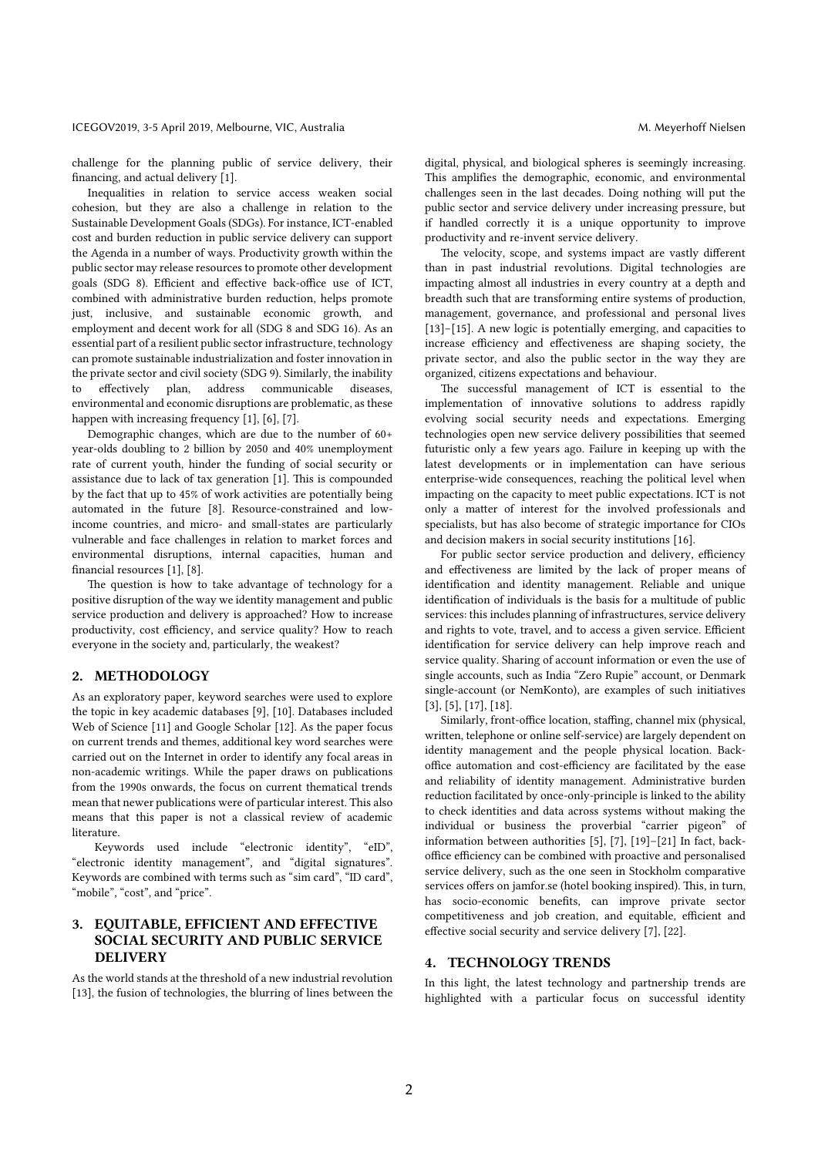challenge for the planning public of service delivery, their financing, and actual delivery [1].

Inequalities in relation to service access weaken social cohesion, but they are also a challenge in relation to the Sustainable Development Goals (SDGs). For instance, ICT-enabled cost and burden reduction in public service delivery can support the Agenda in a number of ways. Productivity growth within the public sector may release resources to promote other development goals (SDG 8). Efficient and effective back-office use of ICT, combined with administrative burden reduction, helps promote just, inclusive, and sustainable economic growth, and employment and decent work for all (SDG 8 and SDG 16). As an essential part of a resilient public sector infrastructure, technology can promote sustainable industrialization and foster innovation in the private sector and civil society (SDG 9). Similarly, the inability to effectively plan, address communicable diseases, environmental and economic disruptions are problematic, as these happen with increasing frequency [1], [6], [7].

Demographic changes, which are due to the number of 60+ year-olds doubling to 2 billion by 2050 and 40% unemployment rate of current youth, hinder the funding of social security or assistance due to lack of tax generation  $[1]$ . This is compounded by the fact that up to 45% of work activities are potentially being automated in the future [8]. Resource-constrained and lowincome countries, and micro- and small-states are particularly vulnerable and face challenges in relation to market forces and environmental disruptions, internal capacities, human and financial resources [1], [8].

The question is how to take advantage of technology for a positive disruption of the way we identity management and public service production and delivery is approached? How to increase productivity, cost efficiency, and service quality? How to reach everyone in the society and, particularly, the weakest?

#### 2. METHODOLOGY

As an exploratory paper, keyword searches were used to explore the topic in key academic databases [9], [10]. Databases included Web of Science [11] and Google Scholar [12]. As the paper focus on current trends and themes, additional key word searches were carried out on the Internet in order to identify any focal areas in non-academic writings. While the paper draws on publications from the 1990s onwards, the focus on current thematical trends mean that newer publications were of particular interest. This also means that this paper is not a classical review of academic literature.

Keywords used include "electronic identity", "eID", "electronic identity management", and "digital signatures". Keywords are combined with terms such as "sim card", "ID card", "mobile", "cost", and "price".

# 3. EQUITABLE, EFFICIENT AND EFFECTIVE SOCIAL SECURITY AND PUBLIC SERVICE **DELIVERY**

As the world stands at the threshold of a new industrial revolution [13], the fusion of technologies, the blurring of lines between the digital, physical, and biological spheres is seemingly increasing. This amplifies the demographic, economic, and environmental challenges seen in the last decades. Doing nothing will put the public sector and service delivery under increasing pressure, but if handled correctly it is a unique opportunity to improve productivity and re-invent service delivery.

The velocity, scope, and systems impact are vastly different than in past industrial revolutions. Digital technologies are impacting almost all industries in every country at a depth and breadth such that are transforming entire systems of production, management, governance, and professional and personal lives [13]–[15]. A new logic is potentially emerging, and capacities to increase efficiency and effectiveness are shaping society, the private sector, and also the public sector in the way they are organized, citizens expectations and behaviour.

The successful management of ICT is essential to the implementation of innovative solutions to address rapidly evolving social security needs and expectations. Emerging technologies open new service delivery possibilities that seemed futuristic only a few years ago. Failure in keeping up with the latest developments or in implementation can have serious enterprise-wide consequences, reaching the political level when impacting on the capacity to meet public expectations. ICT is not only a matter of interest for the involved professionals and specialists, but has also become of strategic importance for CIOs and decision makers in social security institutions [16].

For public sector service production and delivery, efficiency and effectiveness are limited by the lack of proper means of identification and identity management. Reliable and unique identification of individuals is the basis for a multitude of public services: this includes planning of infrastructures, service delivery and rights to vote, travel, and to access a given service. Efficient identification for service delivery can help improve reach and service quality. Sharing of account information or even the use of single accounts, such as India "Zero Rupie" account, or Denmark single-account (or NemKonto), are examples of such initiatives [3], [5], [17], [18].

Similarly, front-office location, staffing, channel mix (physical, written, telephone or online self-service) are largely dependent on identity management and the people physical location. Backoffice automation and cost-efficiency are facilitated by the ease and reliability of identity management. Administrative burden reduction facilitated by once-only-principle is linked to the ability to check identities and data across systems without making the individual or business the proverbial "carrier pigeon" of information between authorities [5], [7], [19]–[21] In fact, backoffice efficiency can be combined with proactive and personalised service delivery, such as the one seen in Stockholm comparative services offers on jamfor.se (hotel booking inspired). This, in turn, has socio-economic benefits, can improve private sector competitiveness and job creation, and equitable, efficient and effective social security and service delivery [7], [22].

#### 4. TECHNOLOGY TRENDS

In this light, the latest technology and partnership trends are highlighted with a particular focus on successful identity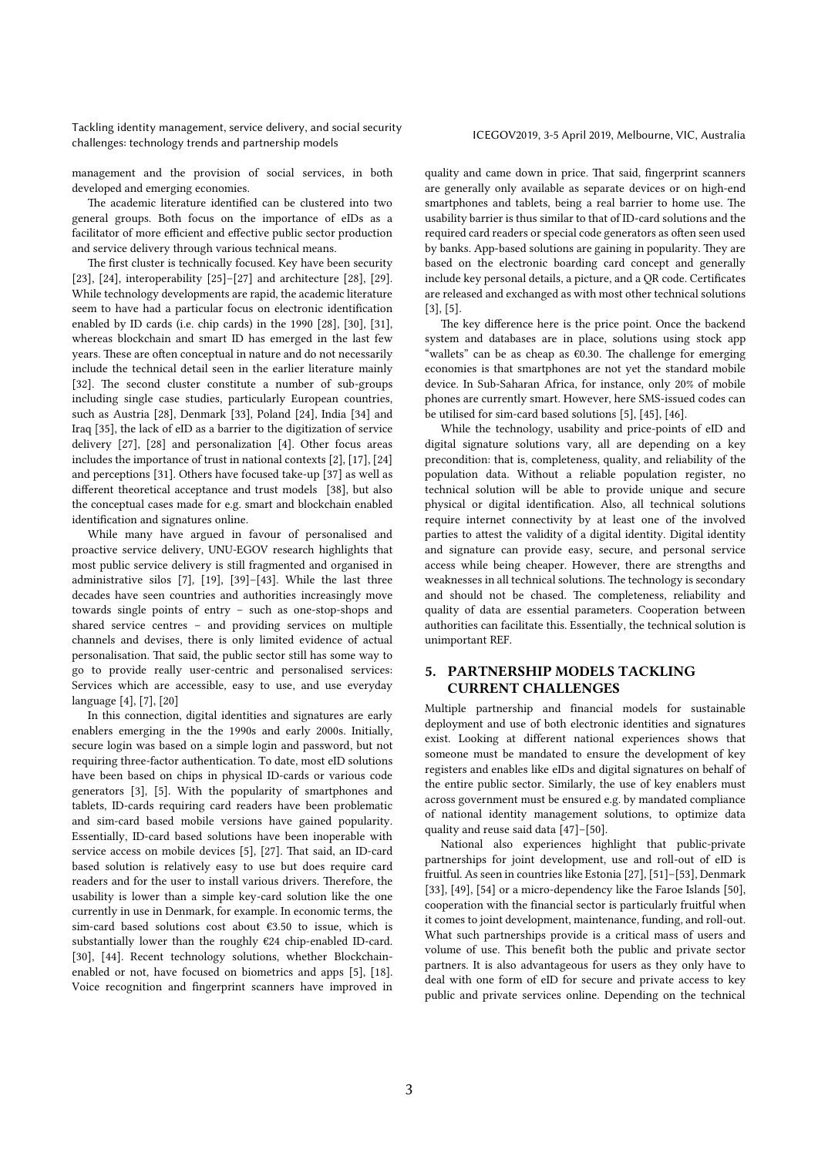Tackling identity management, service delivery, and social security racking identity management, service denvery, and social security<br>
ICEGOV2019, 3-5 April 2019, Melbourne, VIC, Australia<br>
CEGOV2019, 3-5 April 2019, Melbourne, VIC, Australia

management and the provision of social services, in both developed and emerging economies.

The academic literature identified can be clustered into two general groups. Both focus on the importance of eIDs as a facilitator of more efficient and effective public sector production and service delivery through various technical means.

The first cluster is technically focused. Key have been security [23], [24], interoperability [25]–[27] and architecture [28], [29]. While technology developments are rapid, the academic literature seem to have had a particular focus on electronic identification enabled by ID cards (i.e. chip cards) in the 1990 [28], [30], [31], whereas blockchain and smart ID has emerged in the last few years. These are often conceptual in nature and do not necessarily include the technical detail seen in the earlier literature mainly [32]. The second cluster constitute a number of sub-groups including single case studies, particularly European countries, such as Austria [28], Denmark [33], Poland [24], India [34] and Iraq [35], the lack of eID as a barrier to the digitization of service delivery [27], [28] and personalization [4]. Other focus areas includes the importance of trust in national contexts [2], [17], [24] and perceptions [31]. Others have focused take-up [37] as well as different theoretical acceptance and trust models [38], but also the conceptual cases made for e.g. smart and blockchain enabled identification and signatures online.

While many have argued in favour of personalised and proactive service delivery, UNU-EGOV research highlights that most public service delivery is still fragmented and organised in administrative silos [7], [19], [39]–[43]. While the last three decades have seen countries and authorities increasingly move towards single points of entry – such as one-stop-shops and shared service centres – and providing services on multiple channels and devises, there is only limited evidence of actual personalisation. That said, the public sector still has some way to go to provide really user-centric and personalised services: Services which are accessible, easy to use, and use everyday language [4], [7], [20]

In this connection, digital identities and signatures are early enablers emerging in the the 1990s and early 2000s. Initially, secure login was based on a simple login and password, but not requiring three-factor authentication. To date, most eID solutions have been based on chips in physical ID-cards or various code generators [3], [5]. With the popularity of smartphones and tablets, ID-cards requiring card readers have been problematic and sim-card based mobile versions have gained popularity. Essentially, ID-card based solutions have been inoperable with service access on mobile devices [5], [27]. That said, an ID-card based solution is relatively easy to use but does require card readers and for the user to install various drivers. Therefore, the usability is lower than a simple key-card solution like the one currently in use in Denmark, for example. In economic terms, the sim-card based solutions cost about €3.50 to issue, which is substantially lower than the roughly €24 chip-enabled ID-card. [30], [44]. Recent technology solutions, whether Blockchainenabled or not, have focused on biometrics and apps [5], [18]. Voice recognition and fingerprint scanners have improved in

quality and came down in price. That said, fingerprint scanners are generally only available as separate devices or on high-end smartphones and tablets, being a real barrier to home use. The usability barrier is thus similar to that of ID-card solutions and the required card readers or special code generators as often seen used by banks. App-based solutions are gaining in popularity. They are based on the electronic boarding card concept and generally include key personal details, a picture, and a QR code. Certificates are released and exchanged as with most other technical solutions [3], [5].

The key difference here is the price point. Once the backend system and databases are in place, solutions using stock app "wallets" can be as cheap as  $€0.30$ . The challenge for emerging economies is that smartphones are not yet the standard mobile device. In Sub-Saharan Africa, for instance, only 20% of mobile phones are currently smart. However, here SMS-issued codes can be utilised for sim-card based solutions [5], [45], [46].

While the technology, usability and price-points of eID and digital signature solutions vary, all are depending on a key precondition: that is, completeness, quality, and reliability of the population data. Without a reliable population register, no technical solution will be able to provide unique and secure physical or digital identification. Also, all technical solutions require internet connectivity by at least one of the involved parties to attest the validity of a digital identity. Digital identity and signature can provide easy, secure, and personal service access while being cheaper. However, there are strengths and weaknesses in all technical solutions. The technology is secondary and should not be chased. The completeness, reliability and quality of data are essential parameters. Cooperation between authorities can facilitate this. Essentially, the technical solution is unimportant REF.

# 5. PARTNERSHIP MODELS TACKLING CURRENT CHALLENGES

Multiple partnership and financial models for sustainable deployment and use of both electronic identities and signatures exist. Looking at different national experiences shows that someone must be mandated to ensure the development of key registers and enables like eIDs and digital signatures on behalf of the entire public sector. Similarly, the use of key enablers must across government must be ensured e.g. by mandated compliance of national identity management solutions, to optimize data quality and reuse said data [47]–[50].

National also experiences highlight that public-private partnerships for joint development, use and roll-out of eID is fruitful. As seen in countries like Estonia [27], [51]–[53], Denmark [33], [49], [54] or a micro-dependency like the Faroe Islands [50], cooperation with the financial sector is particularly fruitful when it comes to joint development, maintenance, funding, and roll-out. What such partnerships provide is a critical mass of users and volume of use. This benefit both the public and private sector partners. It is also advantageous for users as they only have to deal with one form of eID for secure and private access to key public and private services online. Depending on the technical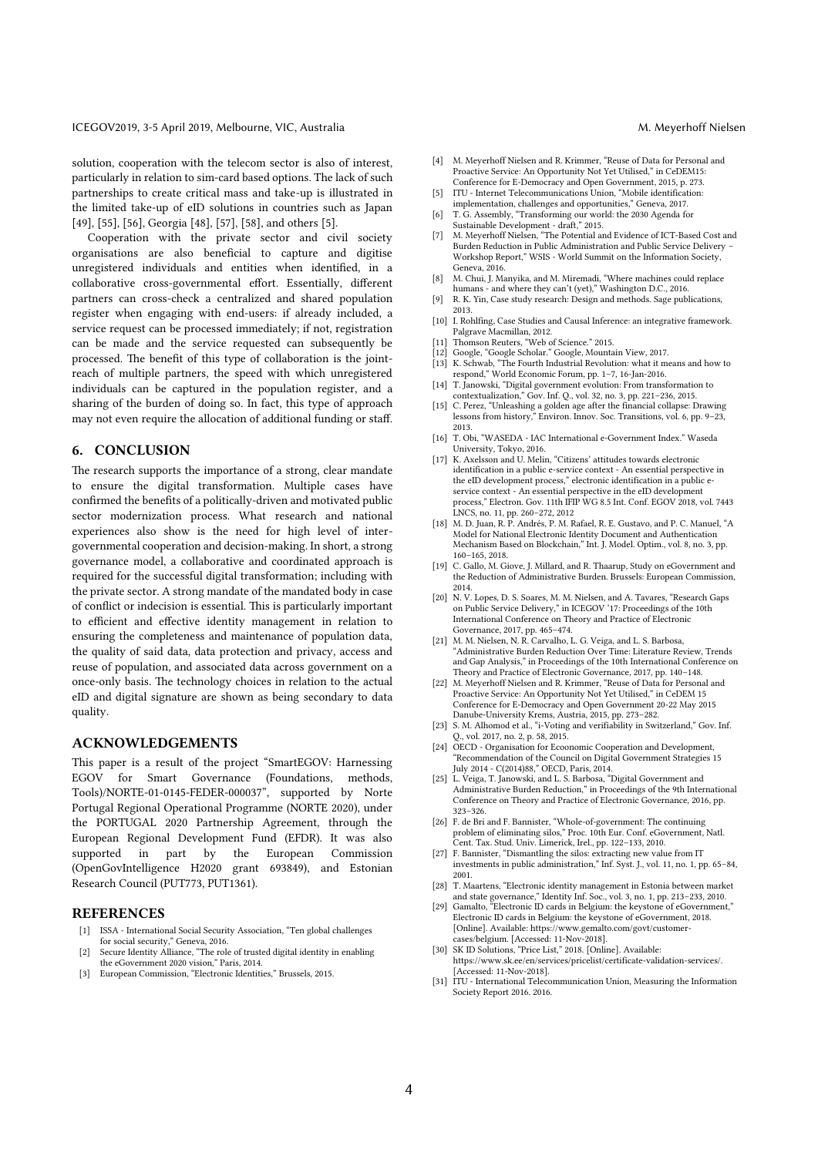#### ICEGOV2019, 3-5 April 2019, Melbourne, VIC, Australia M. Meyerhoff Nielsen

solution, cooperation with the telecom sector is also of interest, particularly in relation to sim-card based options. The lack of such partnerships to create critical mass and take-up is illustrated in the limited take-up of eID solutions in countries such as Japan [49], [55], [56], Georgia [48], [57], [58], and others [5].

Cooperation with the private sector and civil society organisations are also beneficial to capture and digitise unregistered individuals and entities when identified, in a collaborative cross-governmental effort. Essentially, different partners can cross-check a centralized and shared population register when engaging with end-users: if already included, a service request can be processed immediately; if not, registration can be made and the service requested can subsequently be processed. The benefit of this type of collaboration is the jointreach of multiple partners, the speed with which unregistered individuals can be captured in the population register, and a sharing of the burden of doing so. In fact, this type of approach may not even require the allocation of additional funding or staff.

#### 6. CONCLUSION

The research supports the importance of a strong, clear mandate to ensure the digital transformation. Multiple cases have confirmed the benefits of a politically-driven and motivated public sector modernization process. What research and national experiences also show is the need for high level of intergovernmental cooperation and decision-making. In short, a strong governance model, a collaborative and coordinated approach is required for the successful digital transformation; including with the private sector. A strong mandate of the mandated body in case of conflict or indecision is essential. This is particularly important to efficient and effective identity management in relation to ensuring the completeness and maintenance of population data, the quality of said data, data protection and privacy, access and reuse of population, and associated data across government on a once-only basis. The technology choices in relation to the actual eID and digital signature are shown as being secondary to data quality.

### ACKNOWLEDGEMENTS

This paper is a result of the project "SmartEGOV: Harnessing EGOV for Smart Governance (Foundations, methods, Tools)/NORTE-01-0145-FEDER-000037", supported by Norte Portugal Regional Operational Programme (NORTE 2020), under the PORTUGAL 2020 Partnership Agreement, through the European Regional Development Fund (EFDR). It was also supported in part by the European Commission (OpenGovIntelligence H2020 grant 693849), and Estonian Research Council (PUT773, PUT1361).

#### **REFERENCES**

- [1] ISSA International Social Security Association, "Ten global challenges for social security," Geneva, 2016.
- [2] Secure Identity Alliance, "The role of trusted digital identity in enabling the eGovernment 2020 vision," Paris, 2014.
- [3] European Commission, "Electronic Identities," Brussels, 2015.
- [4] M. Meyerhoff Nielsen and R. Krimmer, "Reuse of Data for Personal and Proactive Service: An Opportunity Not Yet Utilised," in CeDEM15: Conference for E-Democracy and Open Government, 2015, p. 273.
- [5] ITU Internet Telecommunications Union, "Mobile identification:
- implementation, challenges and opportunities," Geneva, 2017. [6] T. G. Assembly, "Transforming our world: the 2030 Agenda for
- Sustainable Development draft," 2015.
- [7] M. Meyerhoff Nielsen, "The Potential and Evidence of ICT-Based Cost and Burden Reduction in Public Administration and Public Service Delivery – Workshop Report," WSIS - World Summit on the Information Society, Geneva, 2016.
- [8] M. Chui, J. Manyika, and M. Miremadi, "Where machines could replace humans - and where they can't (yet)," Washington D.C., 2016.
- [9] R. K. Yin, Case study research: Design and methods. Sage publications, 2013.
- [10] I. Rohlfing, Case Studies and Causal Inference: an integrative framework. Palgrave Macmillan, 2012.
- [11] Thomson Reuters, "Web of Science." 2015.
- [12] Google, "Google Scholar." Google, Mountain View, 2017. [13] K. Schwab, "The Fourth Industrial Revolution: what it means and how to
- respond," World Economic Forum, pp. 1–7, 16-Jan-2016.
- [14] T. Janowski, "Digital government evolution: From transformation to contextualization," Gov. Inf. Q., vol. 32, no. 3, pp. 221–236, 2015.
- [15] C. Perez, "Unleashing a golden age after the financial collapse: Drawing lessons from history," Environ. Innov. Soc. Transitions, vol. 6, pp. 9–23, 2013.
- [16] T. Obi, "WASEDA IAC International e-Government Index." Waseda University, Tokyo, 2016.
- [17] K. Axelsson and U. Melin, "Citizens' attitudes towards electronic identification in a public e-service context - An essential perspective in the eID development process," electronic identification in a public eservice context - An essential perspective in the eID development process," Electron. Gov. 11th IFIP WG 8.5 Int. Conf. EGOV 2018, vol. 7443 LNCS, no. 11, pp. 260–272, 2012
- [18] M. D. Juan, R. P. Andrés, P. M. Rafael, R. E. Gustavo, and P. C. Manuel, "A Model for National Electronic Identity Document and Authentication Mechanism Based on Blockchain," Int. J. Model. Optim., vol. 8, no. 3, pp. 160–165, 2018.
- [19] C. Gallo, M. Giove, J. Millard, and R. Thaarup, Study on eGovernment and the Reduction of Administrative Burden. Brussels: European Commission, 2014.
- [20] N. V. Lopes, D. S. Soares, M. M. Nielsen, and A. Tavares, "Research Gaps on Public Service Delivery," in ICEGOV '17: Proceedings of the 10th International Conference on Theory and Practice of Electronic
- Governance, 2017, pp. 465–474. [21] M. M. Nielsen, N. R. Carvalho, L. G. Veiga, and L. S. Barbosa, "Administrative Burden Reduction Over Time: Literature Review, Trends and Gap Analysis," in Proceedings of the 10th International Conference on Theory and Practice of Electronic Governance, 2017, pp. 140–148.
- [22] M. Meyerhoff Nielsen and R. Krimmer, "Reuse of Data for Personal and Proactive Service: An Opportunity Not Yet Utilised," in CeDEM 15 Conference for E-Democracy and Open Government 20-22 May 2015 Danube-University Krems, Austria, 2015, pp. 273–282.
- [23] S. M. Alhomod et al., "i-Voting and verifiability in Switzerland," Gov. Inf. Q., vol. 2017, no. 2, p. 58, 2015.
- [24] OECD Organisation for Ecoonomic Cooperation and Development, "Recommendation of the Council on Digital Government Strategies 15 July 2014 - C(2014)88," OECD, Paris, 2014. [25] L. Veiga, T. Janowski, and L. S. Barbosa, "Digital Government and
- Administrative Burden Reduction," in Proceedings of the 9th International Conference on Theory and Practice of Electronic Governance, 2016, pp. 323–326.
- [26] F. de Bri and F. Bannister, "Whole-of-government: The continuing problem of eliminating silos," Proc. 10th Eur. Conf. eGovernment, Natl. Cent. Tax. Stud. Univ. Limerick, Irel., pp. 122–133, 2010.
- [27] F. Bannister, "Dismantling the silos: extracting new value from IT investments in public administration," Inf. Syst. J., vol. 11, no. 1, pp. 65–84, 2001.
- [28] T. Maartens, "Electronic identity management in Estonia between market and state governance," Identity Inf. Soc., vol. 3, no. 1, pp. 213–233, 2010. [29] Gamalto, "Electronic ID cards in Belgium: the keystone of eGovernment,"
- Electronic ID cards in Belgium: the keystone of eGovernment, 2018. [Online]. Available: https://www.gemalto.com/govt/customercases/belgium. [Accessed: 11-Nov-2018].
- [30] SK ID Solutions, "Price List," 2018. [Online]. Available: https://www.sk.ee/en/services/pricelist/certificate-validation-services/. [Accessed: 11-Nov-2018].
- [31] ITU International Telecommunication Union, Measuring the Information Society Report 2016. 2016.